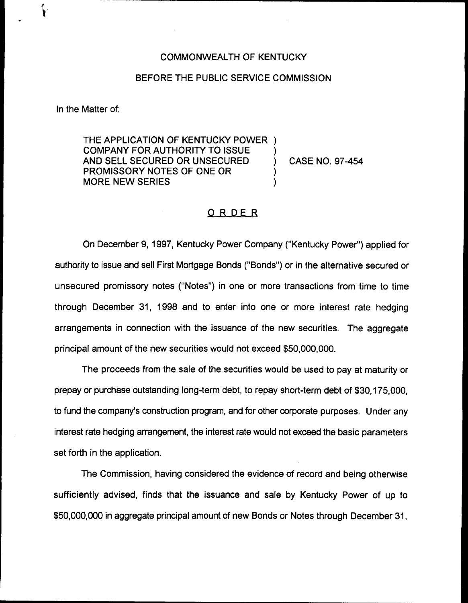## COMMONWEALTH OF KENTUCKY

## BEFORE THE PUBLIC SERVICE COMMISSION

In the Matter of:

THE APPLICATION OF KENTUCKY POWER ) COMPANY FOR AUTHORITY TO ISSUE ) AND SELL SECURED OR UNSECURED ) CASE NO. 97-454 PROMISSORY NOTES OF ONE OR ) MORE NEW SERIES

## O R DE R

On December 9, 1997, Kentucky Power Company ("Kentucky Power") applied for authority to issue and sell First Mortgage Bonds ("Bonds" ) or in the alternative secured or unsecured promissory notes ("Notes") in one or more transactions from time to time through December 31, 1998 and to enter into one or more interest rate hedging arrangements in connection with the issuance of the new securities. The aggregate principal amount of the new securities would not exceed \$50,000,000.

The proceeds from the sale of the securities would be used to pay at maturity or prepay or purchase outstanding long-term debt, to repay short-term debt of \$30,175,000, to fund the company's construction program, and for other corporate purposes. Under any interest rate hedging arrangement, the interest rate would not exceed the basic parameters set forth in the application.

The Commission, having considered the evidence of record and being otherwise sufficiently advised, finds that the issuance and sale by Kentucky Power of up to \$50,000,000 in aggregate principal amount of new Bonds or Notes through December 31,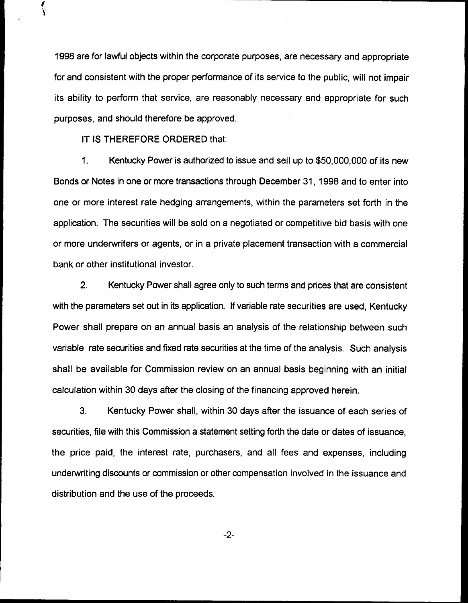1998are for lawful objects within the corporate purposes, are necessary and appropriate for and consistent with the proper performance of its service to the public, will not impair its ability to perform that service, are reasonably necessary and appropriate for such purposes, and should therefore be approved.

IT IS THEREFORE ORDERED that:

Ï

1. Kentucky Power is authorized to issue and sell up to \$50,000,000 of its new Bonds or Notes in one or more transactions through December 31, 1998 and to enter into one or more interest rate hedging arrangements, within the parameters set forth in the application. The securities will be sold on a negotiated or competitive bid basis with one or more underwriters or agents, or in a private placement transaction with a commercial bank or other institutional investor.

2. Kentucky Power shall agree only to such terms and prices that are consistent with the parameters set out in its application. If variable rate securities are used, Kentucky Power shall prepare on an annual basis an analysis of the relationship between such variable rate securities and fixed rate securities at the time of the analysis. Such analysis shall be available for Commission review on an annual basis beginning with an initial calculation within 30 days after the closing of the financing approved herein.

3. Kentucky Power shall, within 30 days after the issuance of each series of securities, file with this Commission a statement setting forth the date or dates of issuance, the price paid, the interest rate, purchasers, and all fees and expenses, including underwriting discounts or commission or other compensation involved in the issuance and distribution and the use of the proceeds.

 $-2-$